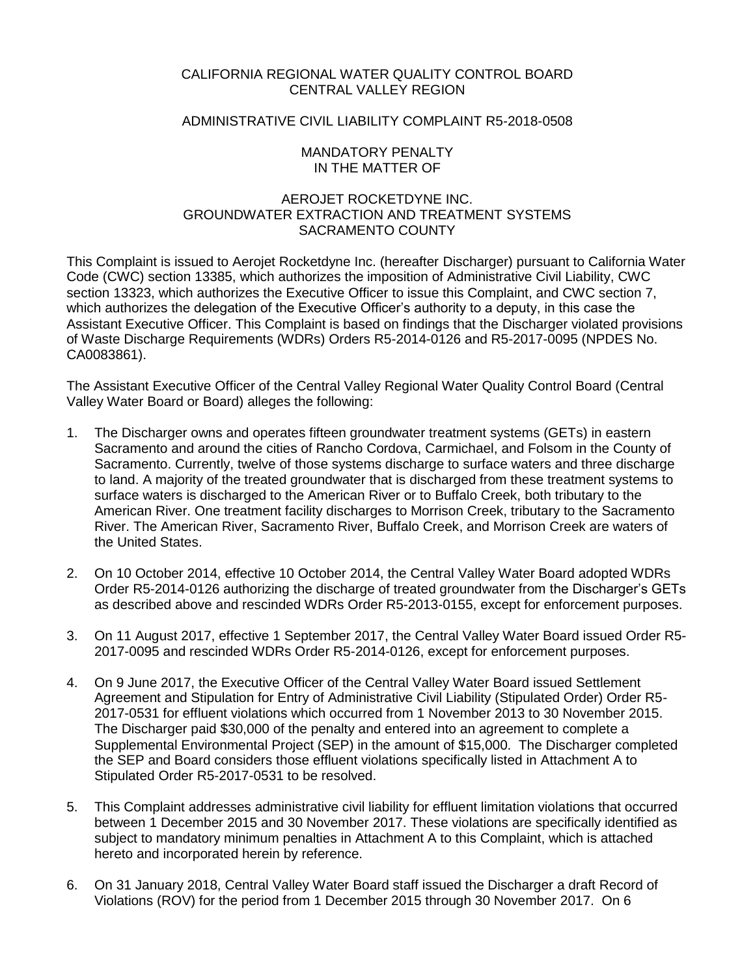## CALIFORNIA REGIONAL WATER QUALITY CONTROL BOARD CENTRAL VALLEY REGION

## ADMINISTRATIVE CIVIL LIABILITY COMPLAINT R5-2018-0508

### MANDATORY PENALTY IN THE MATTER OF

## AEROJET ROCKETDYNE INC. GROUNDWATER EXTRACTION AND TREATMENT SYSTEMS SACRAMENTO COUNTY

This Complaint is issued to Aerojet Rocketdyne Inc. (hereafter Discharger) pursuant to California Water Code (CWC) section 13385, which authorizes the imposition of Administrative Civil Liability, CWC section 13323, which authorizes the Executive Officer to issue this Complaint, and CWC section 7, which authorizes the delegation of the Executive Officer's authority to a deputy, in this case the Assistant Executive Officer. This Complaint is based on findings that the Discharger violated provisions of Waste Discharge Requirements (WDRs) Orders R5-2014-0126 and R5-2017-0095 (NPDES No. CA0083861).

The Assistant Executive Officer of the Central Valley Regional Water Quality Control Board (Central Valley Water Board or Board) alleges the following:

- 1. The Discharger owns and operates fifteen groundwater treatment systems (GETs) in eastern Sacramento and around the cities of Rancho Cordova, Carmichael, and Folsom in the County of Sacramento. Currently, twelve of those systems discharge to surface waters and three discharge to land. A majority of the treated groundwater that is discharged from these treatment systems to surface waters is discharged to the American River or to Buffalo Creek, both tributary to the American River. One treatment facility discharges to Morrison Creek, tributary to the Sacramento River. The American River, Sacramento River, Buffalo Creek, and Morrison Creek are waters of the United States.
- 2. On 10 October 2014, effective 10 October 2014, the Central Valley Water Board adopted WDRs Order R5-2014-0126 authorizing the discharge of treated groundwater from the Discharger's GETs as described above and rescinded WDRs Order R5-2013-0155, except for enforcement purposes.
- 3. On 11 August 2017, effective 1 September 2017, the Central Valley Water Board issued Order R5- 2017-0095 and rescinded WDRs Order R5-2014-0126, except for enforcement purposes.
- 4. On 9 June 2017, the Executive Officer of the Central Valley Water Board issued Settlement Agreement and Stipulation for Entry of Administrative Civil Liability (Stipulated Order) Order R5- 2017-0531 for effluent violations which occurred from 1 November 2013 to 30 November 2015. The Discharger paid \$30,000 of the penalty and entered into an agreement to complete a Supplemental Environmental Project (SEP) in the amount of \$15,000. The Discharger completed the SEP and Board considers those effluent violations specifically listed in Attachment A to Stipulated Order R5-2017-0531 to be resolved.
- 5. This Complaint addresses administrative civil liability for effluent limitation violations that occurred between 1 December 2015 and 30 November 2017. These violations are specifically identified as subject to mandatory minimum penalties in Attachment A to this Complaint, which is attached hereto and incorporated herein by reference.
- 6. On 31 January 2018, Central Valley Water Board staff issued the Discharger a draft Record of Violations (ROV) for the period from 1 December 2015 through 30 November 2017. On 6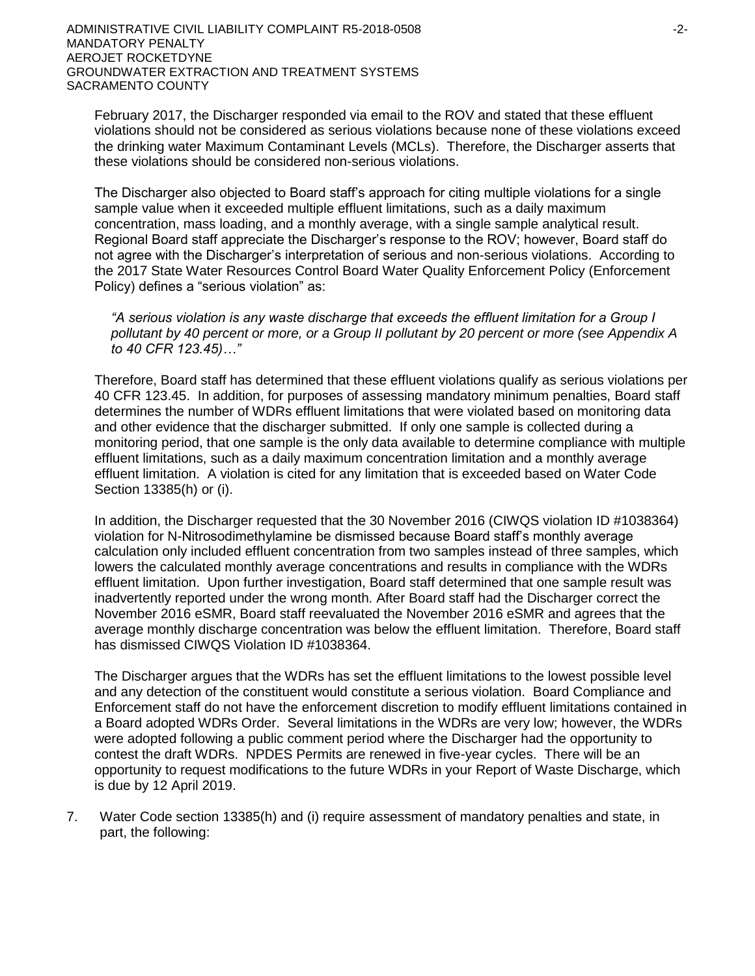February 2017, the Discharger responded via email to the ROV and stated that these effluent violations should not be considered as serious violations because none of these violations exceed the drinking water Maximum Contaminant Levels (MCLs). Therefore, the Discharger asserts that these violations should be considered non-serious violations.

The Discharger also objected to Board staff's approach for citing multiple violations for a single sample value when it exceeded multiple effluent limitations, such as a daily maximum concentration, mass loading, and a monthly average, with a single sample analytical result. Regional Board staff appreciate the Discharger's response to the ROV; however, Board staff do not agree with the Discharger's interpretation of serious and non-serious violations. According to the 2017 State Water Resources Control Board Water Quality Enforcement Policy (Enforcement Policy) defines a "serious violation" as:

*"A serious violation is any waste discharge that exceeds the effluent limitation for a Group I pollutant by 40 percent or more, or a Group II pollutant by 20 percent or more (see Appendix A to 40 CFR 123.45)…"*

Therefore, Board staff has determined that these effluent violations qualify as serious violations per 40 CFR 123.45. In addition, for purposes of assessing mandatory minimum penalties, Board staff determines the number of WDRs effluent limitations that were violated based on monitoring data and other evidence that the discharger submitted. If only one sample is collected during a monitoring period, that one sample is the only data available to determine compliance with multiple effluent limitations, such as a daily maximum concentration limitation and a monthly average effluent limitation. A violation is cited for any limitation that is exceeded based on Water Code Section 13385(h) or (i).

In addition, the Discharger requested that the 30 November 2016 (CIWQS violation ID #1038364) violation for N-Nitrosodimethylamine be dismissed because Board staff's monthly average calculation only included effluent concentration from two samples instead of three samples, which lowers the calculated monthly average concentrations and results in compliance with the WDRs effluent limitation. Upon further investigation, Board staff determined that one sample result was inadvertently reported under the wrong month. After Board staff had the Discharger correct the November 2016 eSMR, Board staff reevaluated the November 2016 eSMR and agrees that the average monthly discharge concentration was below the effluent limitation. Therefore, Board staff has dismissed CIWQS Violation ID #1038364.

The Discharger argues that the WDRs has set the effluent limitations to the lowest possible level and any detection of the constituent would constitute a serious violation. Board Compliance and Enforcement staff do not have the enforcement discretion to modify effluent limitations contained in a Board adopted WDRs Order. Several limitations in the WDRs are very low; however, the WDRs were adopted following a public comment period where the Discharger had the opportunity to contest the draft WDRs. NPDES Permits are renewed in five-year cycles. There will be an opportunity to request modifications to the future WDRs in your Report of Waste Discharge, which is due by 12 April 2019.

7. Water Code section 13385(h) and (i) require assessment of mandatory penalties and state, in part, the following: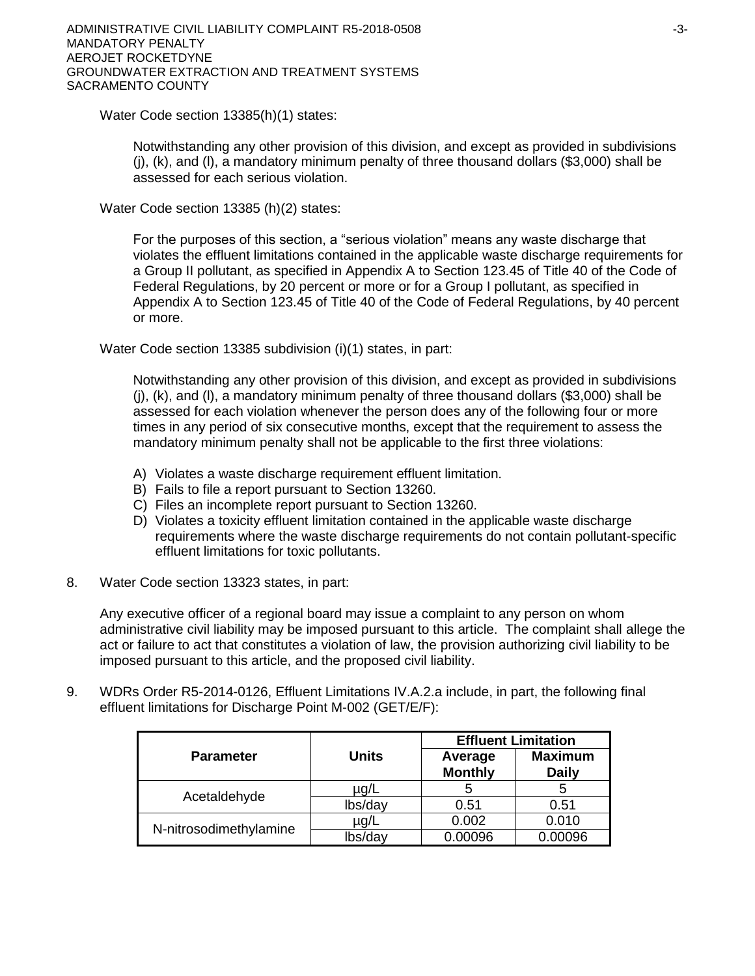Water Code section 13385(h)(1) states:

Notwithstanding any other provision of this division, and except as provided in subdivisions  $(i)$ ,  $(k)$ , and  $(l)$ , a mandatory minimum penalty of three thousand dollars (\$3,000) shall be assessed for each serious violation.

Water Code section 13385 (h)(2) states:

For the purposes of this section, a "serious violation" means any waste discharge that violates the effluent limitations contained in the applicable waste discharge requirements for a Group II pollutant, as specified in Appendix A to Section 123.45 of Title 40 of the Code of Federal Regulations, by 20 percent or more or for a Group I pollutant, as specified in Appendix A to Section 123.45 of Title 40 of the Code of Federal Regulations, by 40 percent or more.

Water Code section 13385 subdivision (i)(1) states, in part:

Notwithstanding any other provision of this division, and except as provided in subdivisions  $(i)$ ,  $(k)$ , and  $(l)$ , a mandatory minimum penalty of three thousand dollars (\$3,000) shall be assessed for each violation whenever the person does any of the following four or more times in any period of six consecutive months, except that the requirement to assess the mandatory minimum penalty shall not be applicable to the first three violations:

- A) Violates a waste discharge requirement effluent limitation.
- B) Fails to file a report pursuant to Section 13260.
- C) Files an incomplete report pursuant to Section 13260.
- D) Violates a toxicity effluent limitation contained in the applicable waste discharge requirements where the waste discharge requirements do not contain pollutant-specific effluent limitations for toxic pollutants.
- 8. Water Code section 13323 states, in part:

Any executive officer of a regional board may issue a complaint to any person on whom administrative civil liability may be imposed pursuant to this article. The complaint shall allege the act or failure to act that constitutes a violation of law, the provision authorizing civil liability to be imposed pursuant to this article, and the proposed civil liability.

9. WDRs Order R5-2014-0126, Effluent Limitations IV.A.2.a include, in part, the following final effluent limitations for Discharge Point M-002 (GET/E/F):

|                        |              | <b>Effluent Limitation</b> |                                |  |
|------------------------|--------------|----------------------------|--------------------------------|--|
| <b>Parameter</b>       | <b>Units</b> | Average<br><b>Monthly</b>  | <b>Maximum</b><br><b>Daily</b> |  |
|                        | µg/L         | 5                          |                                |  |
| Acetaldehyde           | lbs/day      | 0.51                       | 0.51                           |  |
|                        | µg/L         | 0.002                      | 0.010                          |  |
| N-nitrosodimethylamine | lbs/dav      | 0.00096                    | 0.00096                        |  |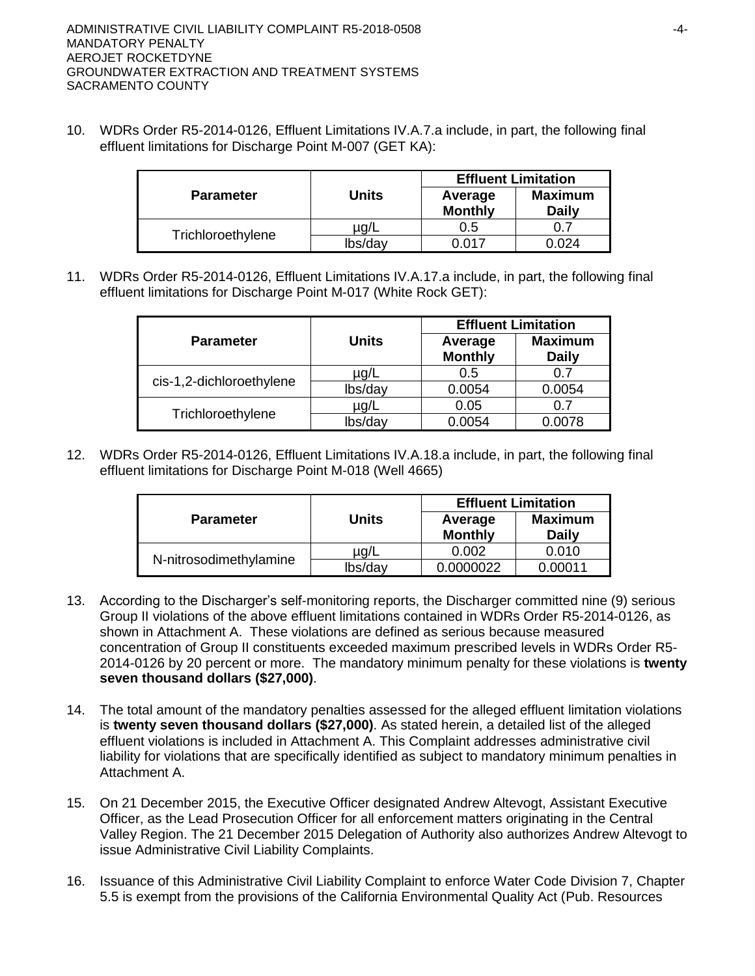10. WDRs Order R5-2014-0126, Effluent Limitations IV.A.7.a include, in part, the following final effluent limitations for Discharge Point M-007 (GET KA):

|                   |         | <b>Effluent Limitation</b> |                                |  |
|-------------------|---------|----------------------------|--------------------------------|--|
| <b>Parameter</b>  | Units   | Average<br><b>Monthly</b>  | <b>Maximum</b><br><b>Daily</b> |  |
| Trichloroethylene | ua/L    | 0.5                        | ი 7                            |  |
|                   | lbs/day | ነ ሰ17                      | .024                           |  |

11. WDRs Order R5-2014-0126, Effluent Limitations IV.A.17.a include, in part, the following final effluent limitations for Discharge Point M-017 (White Rock GET):

|                          |              |                           | <b>Effluent Limitation</b>     |  |
|--------------------------|--------------|---------------------------|--------------------------------|--|
| <b>Parameter</b>         | <b>Units</b> | Average<br><b>Monthly</b> | <b>Maximum</b><br><b>Daily</b> |  |
| cis-1,2-dichloroethylene | $\mu$ g/L    | 0.5                       |                                |  |
|                          | lbs/day      | 0.0054                    | 0.0054                         |  |
| Trichloroethylene        | $\mu$ g/L    | 0.05                      |                                |  |
|                          | lbs/day      | 0.0054                    | 0.0078                         |  |

12. WDRs Order R5-2014-0126, Effluent Limitations IV.A.18.a include, in part, the following final effluent limitations for Discharge Point M-018 (Well 4665)

|                        |              | <b>Effluent Limitation</b> |                                |  |
|------------------------|--------------|----------------------------|--------------------------------|--|
| <b>Parameter</b>       | <b>Units</b> | Average<br><b>Monthly</b>  | <b>Maximum</b><br><b>Daily</b> |  |
| N-nitrosodimethylamine | µg/L         | 0.002                      | 0.010                          |  |
|                        | lbs/day      | 0.0000022                  | 0.00011                        |  |

- 13. According to the Discharger's self-monitoring reports, the Discharger committed nine (9) serious Group II violations of the above effluent limitations contained in WDRs Order R5-2014-0126, as shown in Attachment A. These violations are defined as serious because measured concentration of Group II constituents exceeded maximum prescribed levels in WDRs Order R5- 2014-0126 by 20 percent or more. The mandatory minimum penalty for these violations is **twenty seven thousand dollars (\$27,000)**.
- 14. The total amount of the mandatory penalties assessed for the alleged effluent limitation violations is **twenty seven thousand dollars (\$27,000)**. As stated herein, a detailed list of the alleged effluent violations is included in Attachment A. This Complaint addresses administrative civil liability for violations that are specifically identified as subject to mandatory minimum penalties in Attachment A.
- 15. On 21 December 2015, the Executive Officer designated Andrew Altevogt, Assistant Executive Officer, as the Lead Prosecution Officer for all enforcement matters originating in the Central Valley Region. The 21 December 2015 Delegation of Authority also authorizes Andrew Altevogt to issue Administrative Civil Liability Complaints.
- 16. Issuance of this Administrative Civil Liability Complaint to enforce Water Code Division 7, Chapter 5.5 is exempt from the provisions of the California Environmental Quality Act (Pub. Resources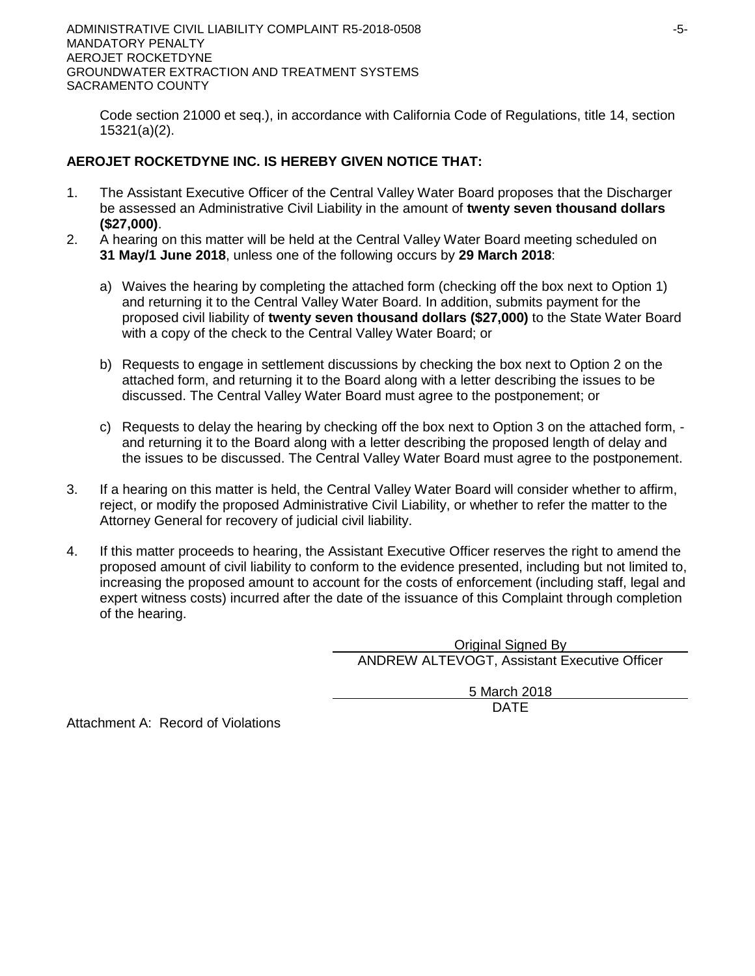ADMINISTRATIVE CIVIL LIABILITY COMPLAINT R5-2018-0508  $-5$ -MANDATORY PENALTY AEROJET ROCKETDYNE GROUNDWATER EXTRACTION AND TREATMENT SYSTEMS SACRAMENTO COUNTY

Code section 21000 et seq.), in accordance with California Code of Regulations, title 14, section 15321(a)(2).

## **AEROJET ROCKETDYNE INC. IS HEREBY GIVEN NOTICE THAT:**

- 1. The Assistant Executive Officer of the Central Valley Water Board proposes that the Discharger be assessed an Administrative Civil Liability in the amount of **twenty seven thousand dollars (\$27,000)**.
- 2. A hearing on this matter will be held at the Central Valley Water Board meeting scheduled on **31 May/1 June 2018**, unless one of the following occurs by **29 March 2018**:
	- a) Waives the hearing by completing the attached form (checking off the box next to Option 1) and returning it to the Central Valley Water Board. In addition, submits payment for the proposed civil liability of **twenty seven thousand dollars (\$27,000)** to the State Water Board with a copy of the check to the Central Valley Water Board; or
	- b) Requests to engage in settlement discussions by checking the box next to Option 2 on the attached form, and returning it to the Board along with a letter describing the issues to be discussed. The Central Valley Water Board must agree to the postponement; or
	- c) Requests to delay the hearing by checking off the box next to Option 3 on the attached form, and returning it to the Board along with a letter describing the proposed length of delay and the issues to be discussed. The Central Valley Water Board must agree to the postponement.
- 3. If a hearing on this matter is held, the Central Valley Water Board will consider whether to affirm, reject, or modify the proposed Administrative Civil Liability, or whether to refer the matter to the Attorney General for recovery of judicial civil liability.
- 4. If this matter proceeds to hearing, the Assistant Executive Officer reserves the right to amend the proposed amount of civil liability to conform to the evidence presented, including but not limited to, increasing the proposed amount to account for the costs of enforcement (including staff, legal and expert witness costs) incurred after the date of the issuance of this Complaint through completion of the hearing.

Original Signed By ANDREW ALTEVOGT, Assistant Executive Officer

> 5 March 2018 DATE

Attachment A: Record of Violations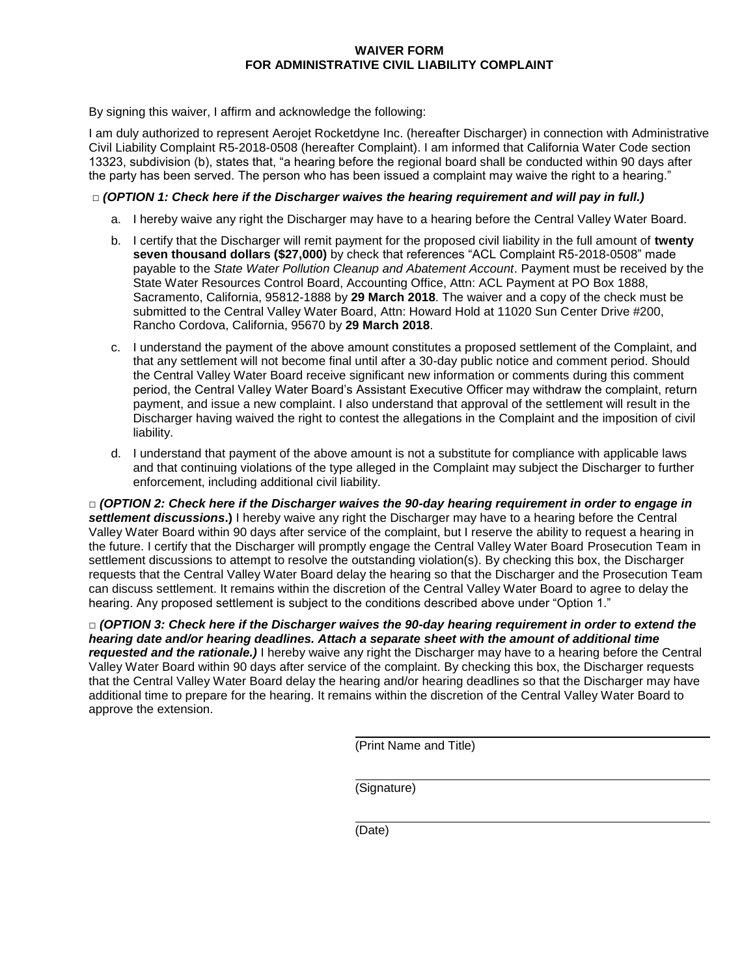#### **WAIVER FORM FOR ADMINISTRATIVE CIVIL LIABILITY COMPLAINT**

By signing this waiver, I affirm and acknowledge the following:

I am duly authorized to represent Aerojet Rocketdyne Inc. (hereafter Discharger) in connection with Administrative Civil Liability Complaint R5-2018-0508 (hereafter Complaint). I am informed that California Water Code section 13323, subdivision (b), states that, "a hearing before the regional board shall be conducted within 90 days after the party has been served. The person who has been issued a complaint may waive the right to a hearing."

## **□** *(OPTION 1: Check here if the Discharger waives the hearing requirement and will pay in full.)*

- a. I hereby waive any right the Discharger may have to a hearing before the Central Valley Water Board.
- b. I certify that the Discharger will remit payment for the proposed civil liability in the full amount of **twenty seven thousand dollars (\$27,000)** by check that references "ACL Complaint R5-2018-0508" made payable to the *State Water Pollution Cleanup and Abatement Account*. Payment must be received by the State Water Resources Control Board, Accounting Office, Attn: ACL Payment at PO Box 1888, Sacramento, California, 95812-1888 by **29 March 2018**. The waiver and a copy of the check must be submitted to the Central Valley Water Board, Attn: Howard Hold at 11020 Sun Center Drive #200, Rancho Cordova, California, 95670 by **29 March 2018**.
- c. I understand the payment of the above amount constitutes a proposed settlement of the Complaint, and that any settlement will not become final until after a 30-day public notice and comment period. Should the Central Valley Water Board receive significant new information or comments during this comment period, the Central Valley Water Board's Assistant Executive Officer may withdraw the complaint, return payment, and issue a new complaint. I also understand that approval of the settlement will result in the Discharger having waived the right to contest the allegations in the Complaint and the imposition of civil liability.
- d. I understand that payment of the above amount is not a substitute for compliance with applicable laws and that continuing violations of the type alleged in the Complaint may subject the Discharger to further enforcement, including additional civil liability.

**□** *(OPTION 2: Check here if the Discharger waives the 90-day hearing requirement in order to engage in settlement discussions***.)** I hereby waive any right the Discharger may have to a hearing before the Central Valley Water Board within 90 days after service of the complaint, but I reserve the ability to request a hearing in the future. I certify that the Discharger will promptly engage the Central Valley Water Board Prosecution Team in settlement discussions to attempt to resolve the outstanding violation(s). By checking this box, the Discharger requests that the Central Valley Water Board delay the hearing so that the Discharger and the Prosecution Team can discuss settlement. It remains within the discretion of the Central Valley Water Board to agree to delay the hearing. Any proposed settlement is subject to the conditions described above under "Option 1."

**□** *(OPTION 3: Check here if the Discharger waives the 90-day hearing requirement in order to extend the hearing date and/or hearing deadlines. Attach a separate sheet with the amount of additional time requested and the rationale.)* I hereby waive any right the Discharger may have to a hearing before the Central Valley Water Board within 90 days after service of the complaint. By checking this box, the Discharger requests that the Central Valley Water Board delay the hearing and/or hearing deadlines so that the Discharger may have additional time to prepare for the hearing. It remains within the discretion of the Central Valley Water Board to approve the extension.

(Print Name and Title)

(Signature)

(Date)